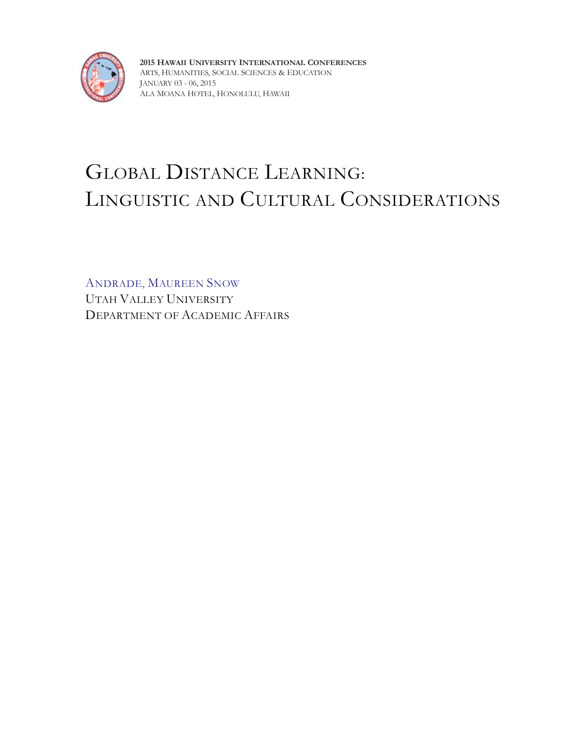

**2015 HAWAII UNIVERSITY INTERNATIONAL CONFERENCES** ARTS, HUMANITIES, SOCIAL SCIENCES & EDUCATION JANUARY 03 - 06, 2015 ALA MOANA HOTEL, HONOLULU, HAWAII

# GLOBAL DISTANCE LEARNING: LINGUISTIC AND CULTURAL CONSIDERATIONS

ANDRADE, MAUREEN SNOW UTAH VALLEY UNIVERSITY DEPARTMENT OF ACADEMIC AFFAIRS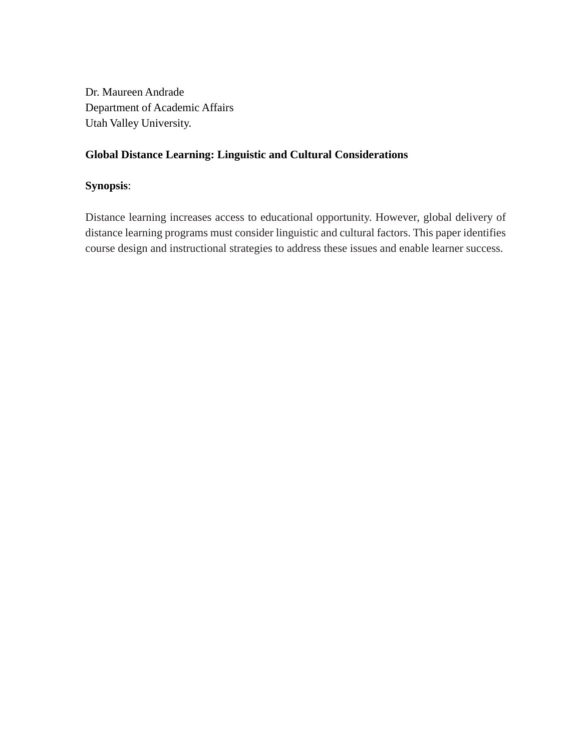Dr. Maureen Andrade Department of Academic Affairs Utah Valley University.

## **Global Distance Learning: Linguistic and Cultural Considerations**

### **Synopsis**:

Distance learning increases access to educational opportunity. However, global delivery of distance learning programs must consider linguistic and cultural factors. This paper identifies course design and instructional strategies to address these issues and enable learner success.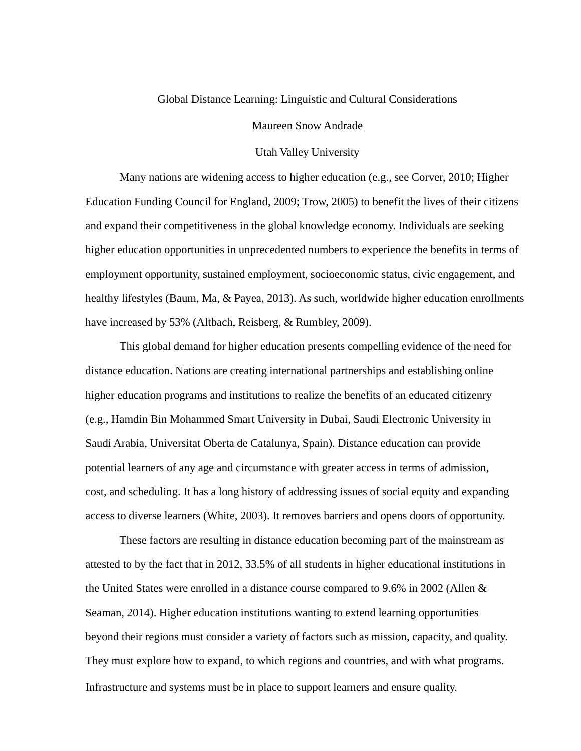#### Global Distance Learning: Linguistic and Cultural Considerations

Maureen Snow Andrade

#### Utah Valley University

Many nations are widening access to higher education (e.g., see Corver, 2010; Higher Education Funding Council for England, 2009; Trow, 2005) to benefit the lives of their citizens and expand their competitiveness in the global knowledge economy. Individuals are seeking higher education opportunities in unprecedented numbers to experience the benefits in terms of employment opportunity, sustained employment, socioeconomic status, civic engagement, and healthy lifestyles (Baum, Ma, & Payea, 2013). As such, worldwide higher education enrollments have increased by 53% (Altbach, Reisberg, & Rumbley, 2009).

This global demand for higher education presents compelling evidence of the need for distance education. Nations are creating international partnerships and establishing online higher education programs and institutions to realize the benefits of an educated citizenry (e.g., Hamdin Bin Mohammed Smart University in Dubai, Saudi Electronic University in Saudi Arabia, Universitat Oberta de Catalunya, Spain). Distance education can provide potential learners of any age and circumstance with greater access in terms of admission, cost, and scheduling. It has a long history of addressing issues of social equity and expanding access to diverse learners (White, 2003). It removes barriers and opens doors of opportunity.

These factors are resulting in distance education becoming part of the mainstream as attested to by the fact that in 2012, 33.5% of all students in higher educational institutions in the United States were enrolled in a distance course compared to 9.6% in 2002 (Allen & Seaman, 2014). Higher education institutions wanting to extend learning opportunities beyond their regions must consider a variety of factors such as mission, capacity, and quality. They must explore how to expand, to which regions and countries, and with what programs. Infrastructure and systems must be in place to support learners and ensure quality.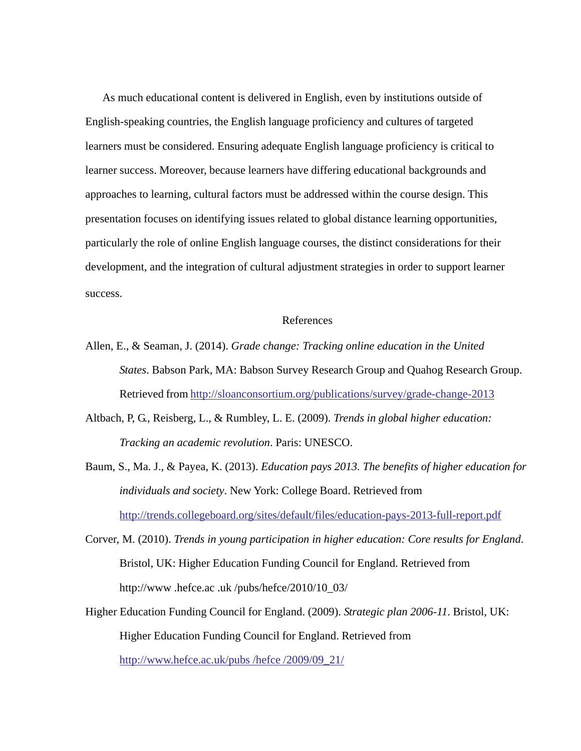As much educational content is delivered in English, even by institutions outside of English-speaking countries, the English language proficiency and cultures of targeted learners must be considered. Ensuring adequate English language proficiency is critical to learner success. Moreover, because learners have differing educational backgrounds and approaches to learning, cultural factors must be addressed within the course design. This presentation focuses on identifying issues related to global distance learning opportunities, particularly the role of online English language courses, the distinct considerations for their development, and the integration of cultural adjustment strategies in order to support learner success.

#### References

- Allen, E., & Seaman, J. (2014). *Grade change: Tracking online education in the United States*. Babson Park, MA: Babson Survey Research Group and Quahog Research Group. Retrieved from http://sloanconsortium.org/publications/survey/grade-change-2013
- Altbach, P, G., Reisberg, L., & Rumbley, L. E. (2009). *Trends in global higher education: Tracking an academic revolution*. Paris: UNESCO.
- Baum, S., Ma. J., & Payea, K. (2013). *Education pays 2013. The benefits of higher education for individuals and society*. New York: College Board. Retrieved from http://trends.collegeboard.org/sites/default/files/education-pays-2013-full-report.pdf
- Corver, M. (2010). *Trends in young participation in higher education: Core results for England*. Bristol, UK: Higher Education Funding Council for England. Retrieved from http://www .hefce.ac .uk /pubs/hefce/2010/10\_03/
- Higher Education Funding Council for England. (2009). *Strategic plan 2006-11*. Bristol, UK: Higher Education Funding Council for England. Retrieved from http://www.hefce.ac.uk/pubs /hefce /2009/09\_21/